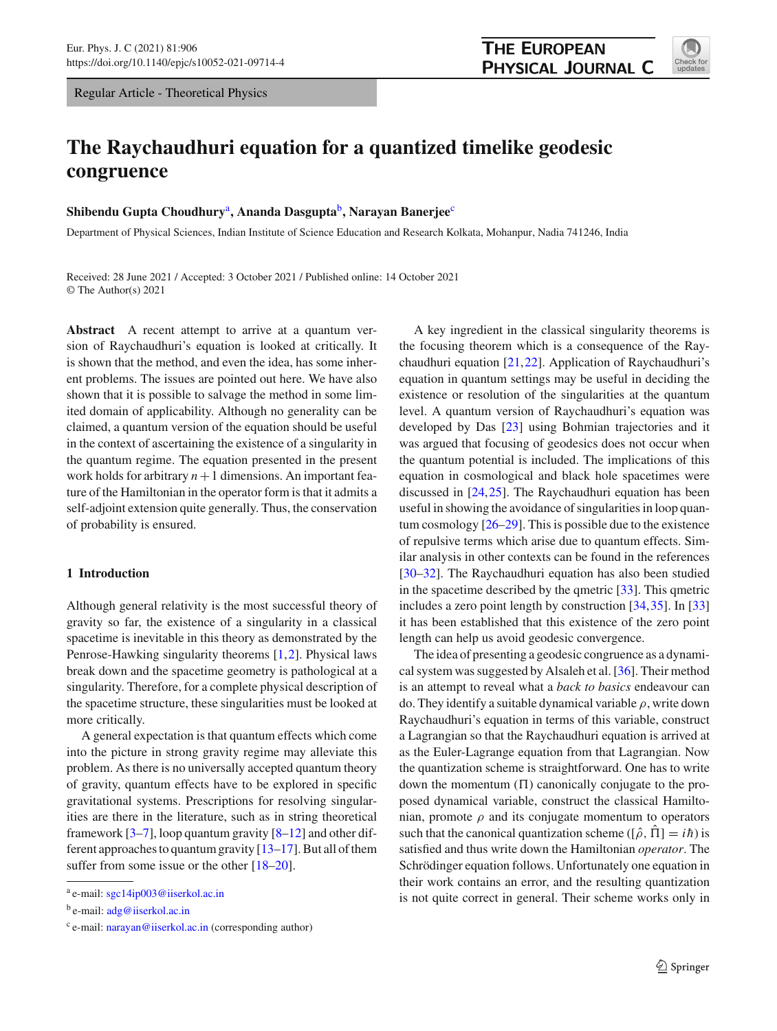Regular Article - Theoretical Physics

# **The Raychaudhuri equation for a quantized timelike geodesic congruence**

# **Shibendu Gupta Choudhury**a**, Ananda Dasgupta**b**, Narayan Banerjee**<sup>c</sup>

Department of Physical Sciences, Indian Institute of Science Education and Research Kolkata, Mohanpur, Nadia 741246, India

Received: 28 June 2021 / Accepted: 3 October 2021 / Published online: 14 October 2021 © The Author(s) 2021

**Abstract** A recent attempt to arrive at a quantum version of Raychaudhuri's equation is looked at critically. It is shown that the method, and even the idea, has some inherent problems. The issues are pointed out here. We have also shown that it is possible to salvage the method in some limited domain of applicability. Although no generality can be claimed, a quantum version of the equation should be useful in the context of ascertaining the existence of a singularity in the quantum regime. The equation presented in the present work holds for arbitrary  $n+1$  dimensions. An important feature of the Hamiltonian in the operator form is that it admits a self-adjoint extension quite generally. Thus, the conservation of probability is ensured.

## **1 Introduction**

Although general relativity is the most successful theory of gravity so far, the existence of a singularity in a classical spacetime is inevitable in this theory as demonstrated by the Penrose-Hawking singularity theorems [\[1](#page-6-0)[,2](#page-6-1)]. Physical laws break down and the spacetime geometry is pathological at a singularity. Therefore, for a complete physical description of the spacetime structure, these singularities must be looked at more critically.

A general expectation is that quantum effects which come into the picture in strong gravity regime may alleviate this problem. As there is no universally accepted quantum theory of gravity, quantum effects have to be explored in specific gravitational systems. Prescriptions for resolving singularities are there in the literature, such as in string theoretical framework  $[3-7]$  $[3-7]$ , loop quantum gravity  $[8-12]$  $[8-12]$  and other different approaches to quantum gravity [\[13](#page-6-6)[–17](#page-6-7)]. But all of them suffer from some issue or the other  $[18–20]$  $[18–20]$ .

A key ingredient in the classical singularity theorems is the focusing theorem which is a consequence of the Raychaudhuri equation [\[21](#page-6-10)[,22](#page-6-11)]. Application of Raychaudhuri's equation in quantum settings may be useful in deciding the existence or resolution of the singularities at the quantum level. A quantum version of Raychaudhuri's equation was developed by Das [\[23\]](#page-6-12) using Bohmian trajectories and it was argued that focusing of geodesics does not occur when the quantum potential is included. The implications of this equation in cosmological and black hole spacetimes were discussed in [\[24,](#page-6-13)[25\]](#page-6-14). The Raychaudhuri equation has been useful in showing the avoidance of singularities in loop quantum cosmology [\[26](#page-6-15)[–29](#page-6-16)]. This is possible due to the existence of repulsive terms which arise due to quantum effects. Similar analysis in other contexts can be found in the references [\[30](#page-6-17)[–32](#page-6-18)]. The Raychaudhuri equation has also been studied in the spacetime described by the qmetric [\[33\]](#page-6-19). This qmetric includes a zero point length by construction [\[34,](#page-6-20)[35\]](#page-6-21). In [\[33\]](#page-6-19) it has been established that this existence of the zero point length can help us avoid geodesic convergence.

The idea of presenting a geodesic congruence as a dynamical system was suggested by Alsaleh et al. [\[36\]](#page-6-22). Their method is an attempt to reveal what a *back to basics* endeavour can do. They identify a suitable dynamical variable  $\rho$ , write down Raychaudhuri's equation in terms of this variable, construct a Lagrangian so that the Raychaudhuri equation is arrived at as the Euler-Lagrange equation from that Lagrangian. Now the quantization scheme is straightforward. One has to write down the momentum  $(\Pi)$  canonically conjugate to the proposed dynamical variable, construct the classical Hamiltonian, promote  $\rho$  and its conjugate momentum to operators such that the canonical quantization scheme ( $[\hat{\rho}, \hat{\Pi}] = i\hbar$ ) is satisfied and thus write down the Hamiltonian *operator*. The Schrödinger equation follows. Unfortunately one equation in their work contains an error, and the resulting quantization is not quite correct in general. Their scheme works only in



<sup>a</sup> e-mail: [sgc14ip003@iiserkol.ac.in](mailto:sgc14ip003@iiserkol.ac.in)

<sup>b</sup> e-mail: [adg@iiserkol.ac.in](mailto:adg@iiserkol.ac.in)

 $c$  e-mail: [narayan@iiserkol.ac.in](mailto:narayan@iiserkol.ac.in) (corresponding author)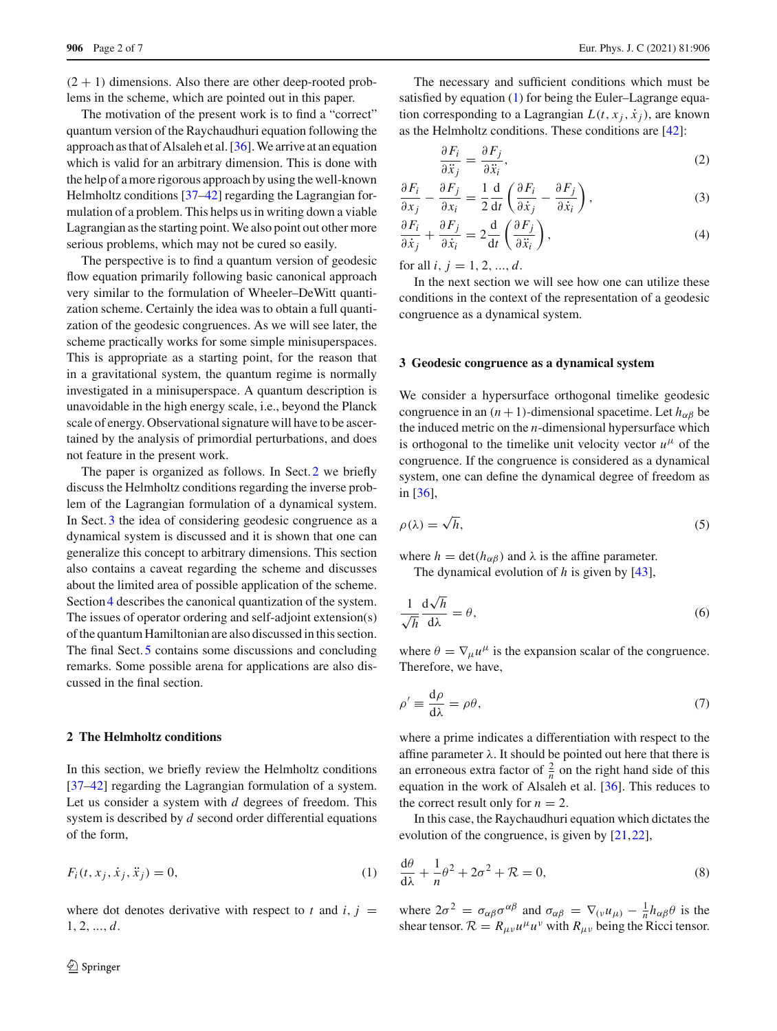$(2 + 1)$  dimensions. Also there are other deep-rooted problems in the scheme, which are pointed out in this paper.

The motivation of the present work is to find a "correct" quantum version of the Raychaudhuri equation following the approach as that of Alsaleh et al.  $[36]$  $[36]$ . We arrive at an equation which is valid for an arbitrary dimension. This is done with the help of a more rigorous approach by using the well-known Helmholtz conditions [\[37](#page-6-23)[–42](#page-6-24)] regarding the Lagrangian formulation of a problem. This helps us in writing down a viable Lagrangian as the starting point. We also point out other more serious problems, which may not be cured so easily.

The perspective is to find a quantum version of geodesic flow equation primarily following basic canonical approach very similar to the formulation of Wheeler–DeWitt quantization scheme. Certainly the idea was to obtain a full quantization of the geodesic congruences. As we will see later, the scheme practically works for some simple minisuperspaces. This is appropriate as a starting point, for the reason that in a gravitational system, the quantum regime is normally investigated in a minisuperspace. A quantum description is unavoidable in the high energy scale, i.e., beyond the Planck scale of energy. Observational signature will have to be ascertained by the analysis of primordial perturbations, and does not feature in the present work.

The paper is organized as follows. In Sect. [2](#page-1-0) we briefly discuss the Helmholtz conditions regarding the inverse problem of the Lagrangian formulation of a dynamical system. In Sect. [3](#page-1-1) the idea of considering geodesic congruence as a dynamical system is discussed and it is shown that one can generalize this concept to arbitrary dimensions. This section also contains a caveat regarding the scheme and discusses about the limited area of possible application of the scheme. Section [4](#page-4-0) describes the canonical quantization of the system. The issues of operator ordering and self-adjoint extension(s) of the quantum Hamiltonian are also discussed in this section. The final Sect. [5](#page-4-1) contains some discussions and concluding remarks. Some possible arena for applications are also discussed in the final section.

## <span id="page-1-0"></span>**2 The Helmholtz conditions**

<span id="page-1-2"></span>In this section, we briefly review the Helmholtz conditions [\[37](#page-6-23)[–42](#page-6-24)] regarding the Lagrangian formulation of a system. Let us consider a system with *d* degrees of freedom. This system is described by *d* second order differential equations of the form,

$$
F_i(t, x_j, \dot{x}_j, \ddot{x}_j) = 0,\t\t(1)
$$

where dot denotes derivative with respect to  $t$  and  $i, j =$ 1, 2, ..., *d*.

The necessary and sufficient conditions which must be satisfied by equation [\(1\)](#page-1-2) for being the Euler–Lagrange equation corresponding to a Lagrangian  $L(t, x_i, \dot{x}_i)$ , are known as the Helmholtz conditions. These conditions are [\[42\]](#page-6-24):

<span id="page-1-5"></span>
$$
\frac{\partial F_i}{\partial \ddot{x}_j} = \frac{\partial F_j}{\partial \ddot{x}_i},\tag{2}
$$

$$
\frac{\partial F_i}{\partial x_j} - \frac{\partial F_j}{\partial x_i} = \frac{1}{2} \frac{d}{dt} \left( \frac{\partial F_i}{\partial \dot{x}_j} - \frac{\partial F_j}{\partial \dot{x}_i} \right),\tag{3}
$$

$$
\frac{\partial F_i}{\partial \dot{x}_j} + \frac{\partial F_j}{\partial \dot{x}_i} = 2 \frac{\mathrm{d}}{\mathrm{d}t} \left( \frac{\partial F_j}{\partial \ddot{x}_i} \right),\tag{4}
$$

for all *i*,  $j = 1, 2, ..., d$ .

In the next section we will see how one can utilize these conditions in the context of the representation of a geodesic congruence as a dynamical system.

#### <span id="page-1-1"></span>**3 Geodesic congruence as a dynamical system**

We consider a hypersurface orthogonal timelike geodesic congruence in an  $(n + 1)$ -dimensional spacetime. Let  $h_{\alpha\beta}$  be the induced metric on the *n*-dimensional hypersurface which is orthogonal to the timelike unit velocity vector  $u^{\mu}$  of the congruence. If the congruence is considered as a dynamical system, one can define the dynamical degree of freedom as in [\[36\]](#page-6-22),

$$
\rho(\lambda) = \sqrt{h},\tag{5}
$$

where  $h = \det(h_{\alpha\beta})$  and  $\lambda$  is the affine parameter.

The dynamical evolution of *h* is given by [\[43](#page-6-25)],

$$
\frac{1}{\sqrt{h}} \frac{\mathrm{d}\sqrt{h}}{\mathrm{d}\lambda} = \theta,\tag{6}
$$

<span id="page-1-3"></span>where  $\theta = \nabla_{\mu} u^{\mu}$  is the expansion scalar of the congruence. Therefore, we have,

$$
\rho' \equiv \frac{\mathrm{d}\rho}{\mathrm{d}\lambda} = \rho \theta,\tag{7}
$$

where a prime indicates a differentiation with respect to the affine parameter  $\lambda$ . It should be pointed out here that there is an erroneous extra factor of  $\frac{2}{n}$  on the right hand side of this equation in the work of Alsaleh et al. [\[36\]](#page-6-22). This reduces to the correct result only for  $n = 2$ .

<span id="page-1-4"></span>In this case, the Raychaudhuri equation which dictates the evolution of the congruence, is given by [\[21](#page-6-10),[22\]](#page-6-11),

$$
\frac{d\theta}{d\lambda} + \frac{1}{n}\theta^2 + 2\sigma^2 + \mathcal{R} = 0,
$$
\n(8)

where  $2\sigma^2 = \sigma_{\alpha\beta}\sigma^{\alpha\beta}$  and  $\sigma_{\alpha\beta} = \nabla_{(\nu}u_{\mu)} - \frac{1}{n}h_{\alpha\beta}\theta$  is the shear tensor.  $\mathcal{R} = R_{\mu\nu}u^{\mu}u^{\nu}$  with  $R_{\mu\nu}$  being the Ricci tensor.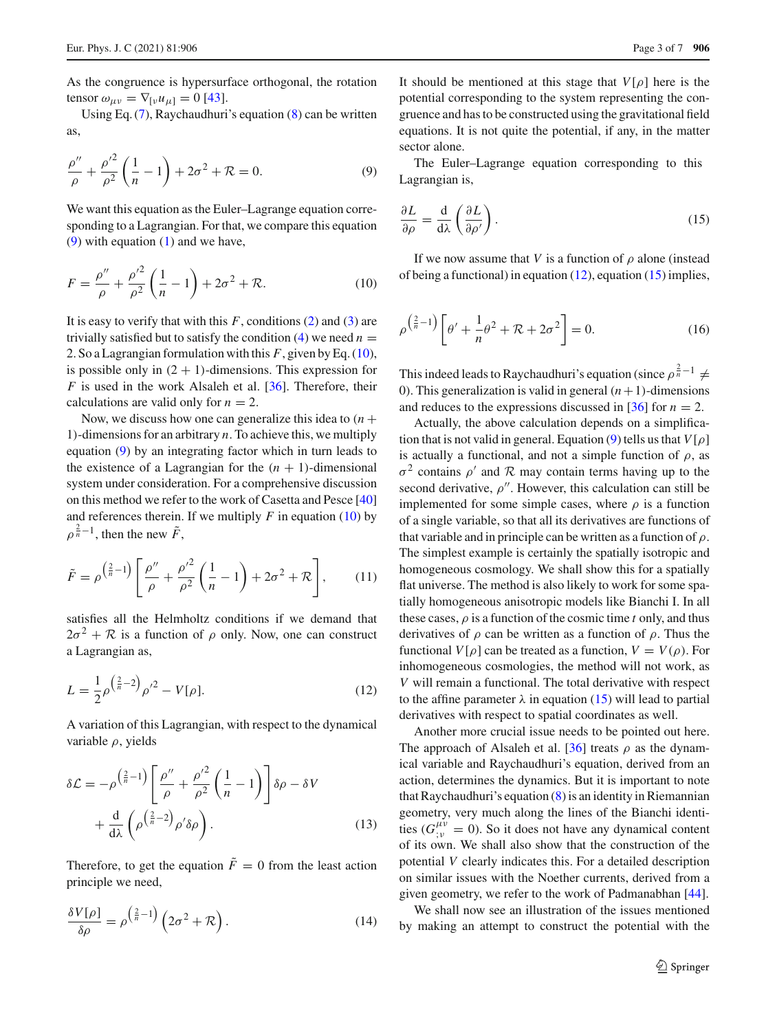As the congruence is hypersurface orthogonal, the rotation tensor  $\omega_{\mu\nu} = \nabla_{[\nu} u_{\mu]} = 0$  [\[43](#page-6-25)].

<span id="page-2-0"></span>Using Eq. [\(7\)](#page-1-3), Raychaudhuri's equation [\(8\)](#page-1-4) can be written as,

$$
\frac{\rho''}{\rho} + \frac{\rho'^2}{\rho^2} \left( \frac{1}{n} - 1 \right) + 2\sigma^2 + \mathcal{R} = 0.
$$
 (9)

We want this equation as the Euler–Lagrange equation corresponding to a Lagrangian. For that, we compare this equation  $(9)$  with equation  $(1)$  and we have,

$$
F = \frac{\rho''}{\rho} + \frac{\rho'^2}{\rho^2} \left( \frac{1}{n} - 1 \right) + 2\sigma^2 + \mathcal{R}.
$$
 (10)

It is easy to verify that with this  $F$ , conditions  $(2)$  and  $(3)$  are trivially satisfied but to satisfy the condition  $(4)$  we need  $n =$ 2. So a Lagrangian formulation with this *F*, given by Eq. [\(10\)](#page-2-1), is possible only in  $(2 + 1)$ -dimensions. This expression for *F* is used in the work Alsaleh et al. [\[36](#page-6-22)]. Therefore, their calculations are valid only for  $n = 2$ .

Now, we discuss how one can generalize this idea to  $(n +$ 1)-dimensions for an arbitrary *n*. To achieve this, we multiply equation [\(9\)](#page-2-0) by an integrating factor which in turn leads to the existence of a Lagrangian for the  $(n + 1)$ -dimensional system under consideration. For a comprehensive discussion on this method we refer to the work of Casetta and Pesce [\[40\]](#page-6-26) and references therein. If we multiply  $F$  in equation [\(10\)](#page-2-1) by  $\rho^{\frac{2}{n}-1}$ , then the new  $\tilde{F}$ ,

$$
\tilde{F} = \rho^{\left(\frac{2}{n}-1\right)} \left[ \frac{\rho''}{\rho} + \frac{\rho'^2}{\rho^2} \left( \frac{1}{n} - 1 \right) + 2\sigma^2 + \mathcal{R} \right],\tag{11}
$$

<span id="page-2-2"></span>satisfies all the Helmholtz conditions if we demand that  $2\sigma^2 + \mathcal{R}$  is a function of  $\rho$  only. Now, one can construct a Lagrangian as,

$$
L = \frac{1}{2}\rho^{\left(\frac{2}{n}-2\right)}\rho'^2 - V[\rho].\tag{12}
$$

A variation of this Lagrangian, with respect to the dynamical variable  $\rho$ , yields

$$
\delta \mathcal{L} = -\rho^{\left(\frac{2}{n}-1\right)} \left[ \frac{\rho''}{\rho} + \frac{\rho'^2}{\rho^2} \left( \frac{1}{n} - 1 \right) \right] \delta \rho - \delta V
$$

$$
+ \frac{d}{d\lambda} \left( \rho^{\left(\frac{2}{n}-2\right)} \rho' \delta \rho \right). \tag{13}
$$

<span id="page-2-4"></span>Therefore, to get the equation  $\tilde{F} = 0$  from the least action principle we need,

$$
\frac{\delta V[\rho]}{\delta \rho} = \rho^{\left(\frac{2}{n}-1\right)} \left(2\sigma^2 + \mathcal{R}\right). \tag{14}
$$

It should be mentioned at this stage that *V*[ρ] here is the potential corresponding to the system representing the congruence and has to be constructed using the gravitational field equations. It is not quite the potential, if any, in the matter sector alone.

<span id="page-2-3"></span>The Euler–Lagrange equation corresponding to this Lagrangian is,

<span id="page-2-1"></span>
$$
\frac{\partial L}{\partial \rho} = \frac{\mathrm{d}}{\mathrm{d}\lambda} \left( \frac{\partial L}{\partial \rho'} \right). \tag{15}
$$

If we now assume that *V* is a function of  $\rho$  alone (instead of being a functional) in equation  $(12)$ , equation  $(15)$  implies,

$$
\rho^{\left(\frac{2}{n}-1\right)}\left[\theta^{\prime}+\frac{1}{n}\theta^2+\mathcal{R}+2\sigma^2\right]=0.\tag{16}
$$

This indeed leads to Raychaudhuri's equation (since  $\rho^{\frac{2}{n}-1} \neq$ 0). This generalization is valid in general  $(n+1)$ -dimensions and reduces to the expressions discussed in [\[36\]](#page-6-22) for  $n = 2$ .

Actually, the above calculation depends on a simplifica-tion that is not valid in general. Equation [\(9\)](#page-2-0) tells us that  $V[\rho]$ is actually a functional, and not a simple function of  $\rho$ , as  $\sigma^2$  contains  $\rho'$  and  $\mathcal R$  may contain terms having up to the second derivative,  $\rho''$ . However, this calculation can still be implemented for some simple cases, where  $\rho$  is a function of a single variable, so that all its derivatives are functions of that variable and in principle can be written as a function of  $\rho$ . The simplest example is certainly the spatially isotropic and homogeneous cosmology. We shall show this for a spatially flat universe. The method is also likely to work for some spatially homogeneous anisotropic models like Bianchi I. In all these cases,  $\rho$  is a function of the cosmic time *t* only, and thus derivatives of  $\rho$  can be written as a function of  $\rho$ . Thus the functional  $V[\rho]$  can be treated as a function,  $V = V(\rho)$ . For inhomogeneous cosmologies, the method will not work, as *V* will remain a functional. The total derivative with respect to the affine parameter  $\lambda$  in equation [\(15\)](#page-2-3) will lead to partial derivatives with respect to spatial coordinates as well.

Another more crucial issue needs to be pointed out here. The approach of Alsaleh et al. [\[36](#page-6-22)] treats  $\rho$  as the dynamical variable and Raychaudhuri's equation, derived from an action, determines the dynamics. But it is important to note that Raychaudhuri's equation [\(8\)](#page-1-4) is an identity in Riemannian geometry, very much along the lines of the Bianchi identities  $(G_{y}^{\mu\nu} = 0)$ . So it does not have any dynamical content of its own. We shall also show that the construction of the potential *V* clearly indicates this. For a detailed description on similar issues with the Noether currents, derived from a given geometry, we refer to the work of Padmanabhan [\[44\]](#page-6-27).

We shall now see an illustration of the issues mentioned by making an attempt to construct the potential with the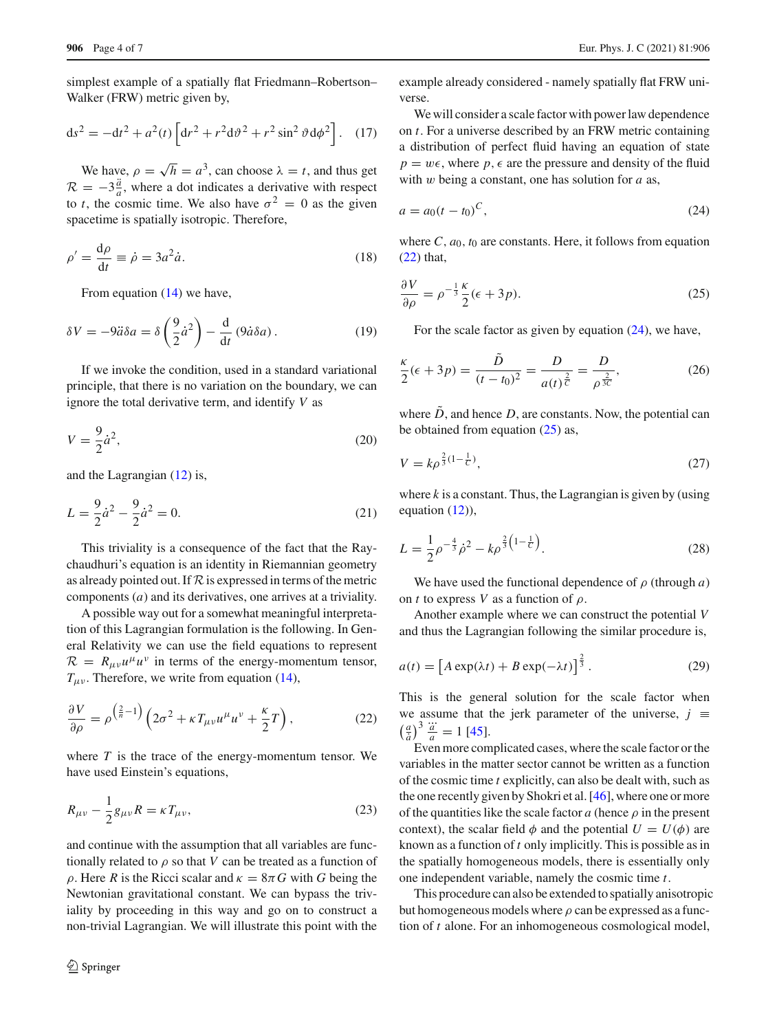simplest example of a spatially flat Friedmann–Robertson– Walker (FRW) metric given by,

$$
ds^{2} = -dt^{2} + a^{2}(t) \left[ dr^{2} + r^{2} d\vartheta^{2} + r^{2} \sin^{2} \vartheta d\phi^{2} \right].
$$
 (17)

We have,  $\rho = \sqrt{h} = a^3$ , can choose  $\lambda = t$ , and thus get  $\mathcal{R} = -3\frac{\ddot{a}}{a}$ , where a dot indicates a derivative with respect to *t*, the cosmic time. We also have  $\sigma^2 = 0$  as the given spacetime is spatially isotropic. Therefore,

$$
\rho' = \frac{d\rho}{dt} \equiv \dot{\rho} = 3a^2 \dot{a}.\tag{18}
$$

From equation [\(14\)](#page-2-4) we have,

$$
\delta V = -9\ddot{a}\delta a = \delta \left(\frac{9}{2}\dot{a}^2\right) - \frac{d}{dt} \left(9\dot{a}\delta a\right). \tag{19}
$$

If we invoke the condition, used in a standard variational principle, that there is no variation on the boundary, we can ignore the total derivative term, and identify *V* as

$$
V = \frac{9}{2}\dot{a}^2,\tag{20}
$$

and the Lagrangian [\(12\)](#page-2-2) is,

$$
L = \frac{9}{2}\dot{a}^2 - \frac{9}{2}\dot{a}^2 = 0.
$$
 (21)

This triviality is a consequence of the fact that the Raychaudhuri's equation is an identity in Riemannian geometry as already pointed out. If  $R$  is expressed in terms of the metric components (*a*) and its derivatives, one arrives at a triviality.

A possible way out for a somewhat meaningful interpretation of this Lagrangian formulation is the following. In General Relativity we can use the field equations to represent  $\mathcal{R} = R_{\mu\nu}u^{\mu}u^{\nu}$  in terms of the energy-momentum tensor,  $T_{\mu\nu}$ . Therefore, we write from equation [\(14\)](#page-2-4),

$$
\frac{\partial V}{\partial \rho} = \rho^{\left(\frac{2}{n}-1\right)} \left(2\sigma^2 + \kappa T_{\mu\nu} u^{\mu} u^{\nu} + \frac{\kappa}{2} T\right),\tag{22}
$$

where  $T$  is the trace of the energy-momentum tensor. We have used Einstein's equations,

$$
R_{\mu\nu} - \frac{1}{2}g_{\mu\nu}R = \kappa T_{\mu\nu},\tag{23}
$$

and continue with the assumption that all variables are functionally related to  $\rho$  so that *V* can be treated as a function of ρ. Here *R* is the Ricci scalar and κ = 8π*G* with *G* being the Newtonian gravitational constant. We can bypass the triviality by proceeding in this way and go on to construct a non-trivial Lagrangian. We will illustrate this point with the example already considered - namely spatially flat FRW universe.

We will consider a scale factor with power law dependence on *t*. For a universe described by an FRW metric containing a distribution of perfect fluid having an equation of state  $p = w\epsilon$ , where  $p, \epsilon$  are the pressure and density of the fluid with w being a constant, one has solution for *a* as,

<span id="page-3-1"></span>
$$
a = a_0 (t - t_0)^C,
$$
\n(24)

<span id="page-3-2"></span>where  $C$ ,  $a_0$ ,  $t_0$  are constants. Here, it follows from equation [\(22\)](#page-3-0) that,

$$
\frac{\partial V}{\partial \rho} = \rho^{-\frac{1}{3}} \frac{\kappa}{2} (\epsilon + 3p). \tag{25}
$$

For the scale factor as given by equation [\(24\)](#page-3-1), we have,

$$
\frac{\kappa}{2}(\epsilon + 3p) = \frac{\ddot{D}}{(t - t_0)^2} = \frac{D}{a(t)^{\frac{2}{C}}} = \frac{D}{\rho^{\frac{2}{3C}}},\tag{26}
$$

where  $\ddot{D}$ , and hence  $D$ , are constants. Now, the potential can be obtained from equation  $(25)$  as,

$$
V = k \rho^{\frac{2}{3}(1 - \frac{1}{C})},\tag{27}
$$

where  $k$  is a constant. Thus, the Lagrangian is given by (using equation [\(12\)](#page-2-2)),

$$
L = \frac{1}{2}\rho^{-\frac{4}{3}}\dot{\rho}^2 - k\rho^{\frac{2}{3}\left(1 - \frac{1}{C}\right)}.
$$
 (28)

We have used the functional dependence of  $\rho$  (through  $a$ ) on *t* to express *V* as a function of  $\rho$ .

Another example where we can construct the potential *V* and thus the Lagrangian following the similar procedure is,

<span id="page-3-0"></span>
$$
a(t) = \left[A \exp(\lambda t) + B \exp(-\lambda t)\right]^{\frac{2}{3}}.
$$
 (29)

This is the general solution for the scale factor when we assume that the jerk parameter of the universe,  $j \equiv$ we assume that<br> $\left(\frac{a}{a}\right)^3 \frac{\dddot{a}}{a} = 1$  [\[45\]](#page-6-28).

Even more complicated cases, where the scale factor or the variables in the matter sector cannot be written as a function of the cosmic time *t* explicitly, can also be dealt with, such as the one recently given by Shokri et al. [\[46](#page-6-29)], where one or more of the quantities like the scale factor  $a$  (hence  $\rho$  in the present context), the scalar field  $\phi$  and the potential  $U = U(\phi)$  are known as a function of *t* only implicitly. This is possible as in the spatially homogeneous models, there is essentially only one independent variable, namely the cosmic time *t*.

This procedure can also be extended to spatially anisotropic but homogeneous models where  $\rho$  can be expressed as a function of *t* alone. For an inhomogeneous cosmological model,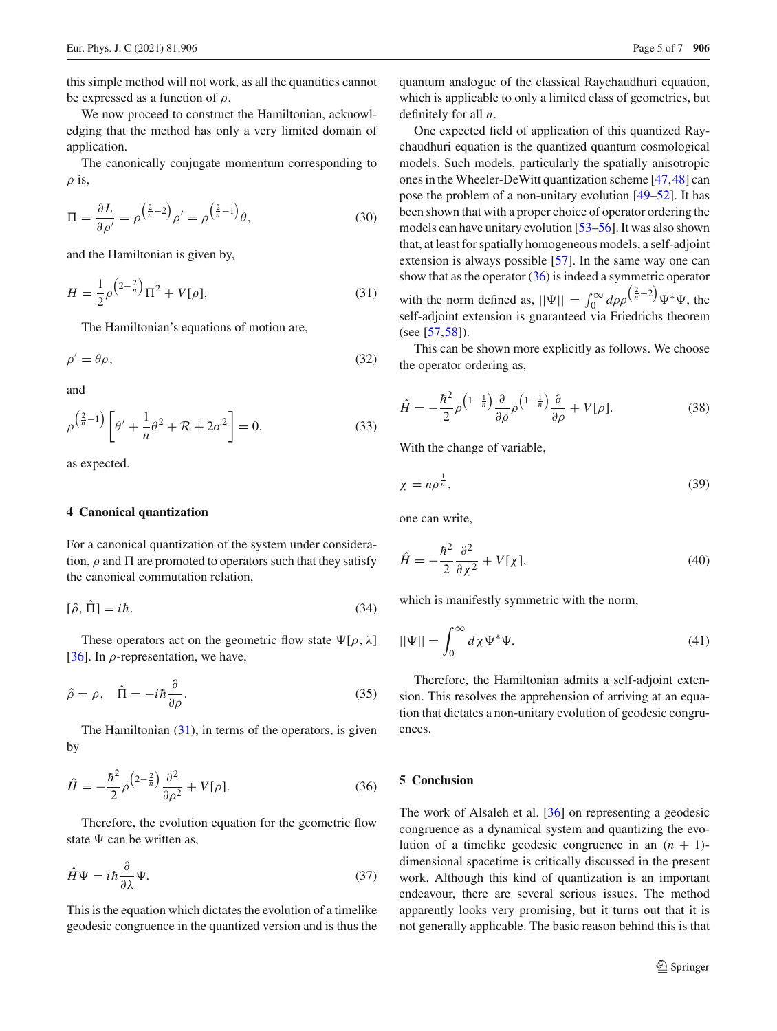this simple method will not work, as all the quantities cannot be expressed as a function of  $\rho$ .

We now proceed to construct the Hamiltonian, acknowledging that the method has only a very limited domain of application.

The canonically conjugate momentum corresponding to  $\rho$  is,

$$
\Pi = \frac{\partial L}{\partial \rho'} = \rho^{\left(\frac{2}{n} - 2\right)} \rho' = \rho^{\left(\frac{2}{n} - 1\right)} \theta,\tag{30}
$$

<span id="page-4-2"></span>and the Hamiltonian is given by,

$$
H = \frac{1}{2}\rho^{\left(2-\frac{2}{n}\right)}\Pi^2 + V[\rho],\tag{31}
$$

The Hamiltonian's equations of motion are,

$$
\rho' = \theta \rho,\tag{32}
$$

and

$$
\rho^{\left(\frac{2}{n}-1\right)}\left[\theta'+\frac{1}{n}\theta^2+\mathcal{R}+2\sigma^2\right]=0,\tag{33}
$$

as expected.

## <span id="page-4-0"></span>**4 Canonical quantization**

For a canonical quantization of the system under consideration,  $\rho$  and  $\Pi$  are promoted to operators such that they satisfy the canonical commutation relation,

$$
[\hat{\rho}, \hat{\Pi}] = i\hbar. \tag{34}
$$

These operators act on the geometric flow state  $\Psi[\rho,\lambda]$ [\[36](#page-6-22)]. In  $\rho$ -representation, we have,

$$
\hat{\rho} = \rho, \quad \hat{\Pi} = -i\hbar \frac{\partial}{\partial \rho}.
$$
\n(35)

<span id="page-4-3"></span>The Hamiltonian  $(31)$ , in terms of the operators, is given by

$$
\hat{H} = -\frac{\hbar^2}{2}\rho^{\left(2-\frac{2}{n}\right)}\frac{\partial^2}{\partial \rho^2} + V[\rho].\tag{36}
$$

Therefore, the evolution equation for the geometric flow state  $\Psi$  can be written as,

$$
\hat{H}\Psi = i\hbar \frac{\partial}{\partial \lambda} \Psi.
$$
\n(37)

This is the equation which dictates the evolution of a timelike geodesic congruence in the quantized version and is thus the quantum analogue of the classical Raychaudhuri equation, which is applicable to only a limited class of geometries, but definitely for all *n*.

One expected field of application of this quantized Raychaudhuri equation is the quantized quantum cosmological models. Such models, particularly the spatially anisotropic ones in the Wheeler-DeWitt quantization scheme [\[47](#page-6-30),[48](#page-6-31)] can pose the problem of a non-unitary evolution [\[49](#page-6-32)[–52\]](#page-6-33). It has been shown that with a proper choice of operator ordering the models can have unitary evolution [\[53](#page-6-34)[–56\]](#page-6-35). It was also shown that, at least for spatially homogeneous models, a self-adjoint extension is always possible [\[57\]](#page-6-36). In the same way one can show that as the operator [\(36\)](#page-4-3) is indeed a symmetric operator with the norm defined as,  $||\Psi|| = \int_0^\infty d\rho \rho \left(\frac{2}{n} - 2\right) \Psi^* \Psi$ , the self-adjoint extension is guaranteed via Friedrichs theorem (see [\[57](#page-6-36)[,58](#page-6-37)]).

This can be shown more explicitly as follows. We choose the operator ordering as,

$$
\hat{H} = -\frac{\hbar^2}{2}\rho^{\left(1-\frac{1}{n}\right)}\frac{\partial}{\partial\rho}\rho^{\left(1-\frac{1}{n}\right)}\frac{\partial}{\partial\rho} + V[\rho].\tag{38}
$$

With the change of variable,

$$
\chi = n\rho^{\frac{1}{n}},\tag{39}
$$

one can write,

$$
\hat{H} = -\frac{\hbar^2}{2} \frac{\partial^2}{\partial \chi^2} + V[\chi],\tag{40}
$$

which is manifestly symmetric with the norm,

$$
||\Psi|| = \int_0^\infty d\chi \Psi^* \Psi.
$$
\n(41)

Therefore, the Hamiltonian admits a self-adjoint extension. This resolves the apprehension of arriving at an equation that dictates a non-unitary evolution of geodesic congruences.

## <span id="page-4-1"></span>**5 Conclusion**

The work of Alsaleh et al. [\[36\]](#page-6-22) on representing a geodesic congruence as a dynamical system and quantizing the evolution of a timelike geodesic congruence in an  $(n + 1)$ dimensional spacetime is critically discussed in the present work. Although this kind of quantization is an important endeavour, there are several serious issues. The method apparently looks very promising, but it turns out that it is not generally applicable. The basic reason behind this is that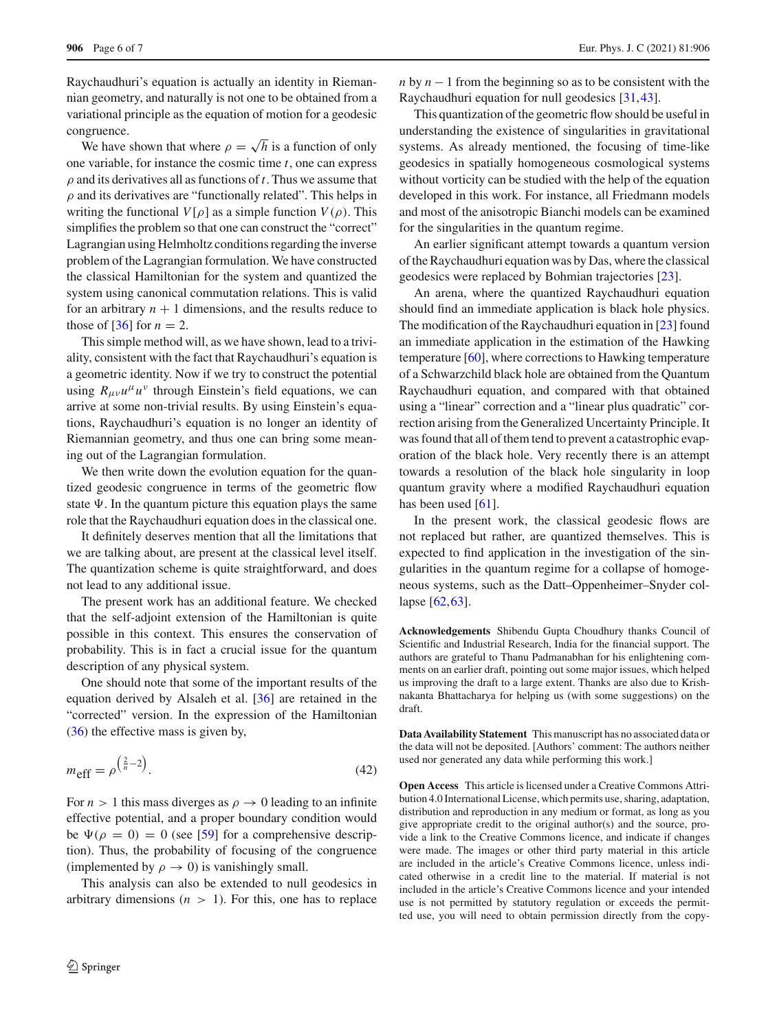Raychaudhuri's equation is actually an identity in Riemannian geometry, and naturally is not one to be obtained from a variational principle as the equation of motion for a geodesic congruence.

We have shown that where  $\rho = \sqrt{h}$  is a function of only one variable, for instance the cosmic time *t*, one can express  $\rho$  and its derivatives all as functions of  $t$ . Thus we assume that  $\rho$  and its derivatives are "functionally related". This helps in writing the functional  $V[\rho]$  as a simple function  $V(\rho)$ . This simplifies the problem so that one can construct the "correct" Lagrangian using Helmholtz conditions regarding the inverse problem of the Lagrangian formulation. We have constructed the classical Hamiltonian for the system and quantized the system using canonical commutation relations. This is valid for an arbitrary  $n + 1$  dimensions, and the results reduce to those of  $[36]$  for  $n = 2$ .

This simple method will, as we have shown, lead to a triviality, consistent with the fact that Raychaudhuri's equation is a geometric identity. Now if we try to construct the potential using  $R_{\mu\nu}u^{\mu}u^{\nu}$  through Einstein's field equations, we can arrive at some non-trivial results. By using Einstein's equations, Raychaudhuri's equation is no longer an identity of Riemannian geometry, and thus one can bring some meaning out of the Lagrangian formulation.

We then write down the evolution equation for the quantized geodesic congruence in terms of the geometric flow state  $\Psi$ . In the quantum picture this equation plays the same role that the Raychaudhuri equation does in the classical one.

It definitely deserves mention that all the limitations that we are talking about, are present at the classical level itself. The quantization scheme is quite straightforward, and does not lead to any additional issue.

The present work has an additional feature. We checked that the self-adjoint extension of the Hamiltonian is quite possible in this context. This ensures the conservation of probability. This is in fact a crucial issue for the quantum description of any physical system.

One should note that some of the important results of the equation derived by Alsaleh et al. [\[36](#page-6-22)] are retained in the "corrected" version. In the expression of the Hamiltonian [\(36\)](#page-4-3) the effective mass is given by,

$$
m_{\text{eff}} = \rho^{\left(\frac{2}{n} - 2\right)}.
$$
\n<sup>(42)</sup>

For  $n > 1$  this mass diverges as  $\rho \rightarrow 0$  leading to an infinite effective potential, and a proper boundary condition would be  $\Psi(\rho = 0) = 0$  (see [\[59](#page-6-38)] for a comprehensive description). Thus, the probability of focusing of the congruence (implemented by  $\rho \rightarrow 0$ ) is vanishingly small.

This analysis can also be extended to null geodesics in arbitrary dimensions  $(n > 1)$ . For this, one has to replace *n* by *n* − 1 from the beginning so as to be consistent with the Raychaudhuri equation for null geodesics [\[31](#page-6-39)[,43](#page-6-25)].

This quantization of the geometric flow should be useful in understanding the existence of singularities in gravitational systems. As already mentioned, the focusing of time-like geodesics in spatially homogeneous cosmological systems without vorticity can be studied with the help of the equation developed in this work. For instance, all Friedmann models and most of the anisotropic Bianchi models can be examined for the singularities in the quantum regime.

An earlier significant attempt towards a quantum version of the Raychaudhuri equation was by Das, where the classical geodesics were replaced by Bohmian trajectories [\[23\]](#page-6-12).

An arena, where the quantized Raychaudhuri equation should find an immediate application is black hole physics. The modification of the Raychaudhuri equation in [\[23\]](#page-6-12) found an immediate application in the estimation of the Hawking temperature [\[60\]](#page-6-40), where corrections to Hawking temperature of a Schwarzchild black hole are obtained from the Quantum Raychaudhuri equation, and compared with that obtained using a "linear" correction and a "linear plus quadratic" correction arising from the Generalized Uncertainty Principle. It was found that all of them tend to prevent a catastrophic evaporation of the black hole. Very recently there is an attempt towards a resolution of the black hole singularity in loop quantum gravity where a modified Raychaudhuri equation has been used [\[61](#page-6-41)].

In the present work, the classical geodesic flows are not replaced but rather, are quantized themselves. This is expected to find application in the investigation of the singularities in the quantum regime for a collapse of homogeneous systems, such as the Datt–Oppenheimer–Snyder collapse [\[62](#page-6-42),[63\]](#page-6-43).

**Acknowledgements** Shibendu Gupta Choudhury thanks Council of Scientific and Industrial Research, India for the financial support. The authors are grateful to Thanu Padmanabhan for his enlightening comments on an earlier draft, pointing out some major issues, which helped us improving the draft to a large extent. Thanks are also due to Krishnakanta Bhattacharya for helping us (with some suggestions) on the draft.

**Data Availability Statement** This manuscript has no associated data or the data will not be deposited. [Authors' comment: The authors neither used nor generated any data while performing this work.]

**Open Access** This article is licensed under a Creative Commons Attribution 4.0 International License, which permits use, sharing, adaptation, distribution and reproduction in any medium or format, as long as you give appropriate credit to the original author(s) and the source, provide a link to the Creative Commons licence, and indicate if changes were made. The images or other third party material in this article are included in the article's Creative Commons licence, unless indicated otherwise in a credit line to the material. If material is not included in the article's Creative Commons licence and your intended use is not permitted by statutory regulation or exceeds the permitted use, you will need to obtain permission directly from the copy